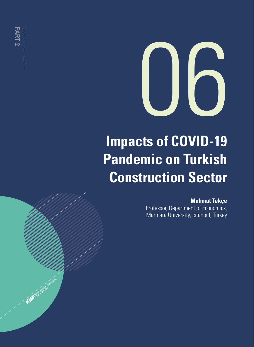

# **Impacts of COVID-19 Pandemic on Turkish Construction Sector**

### **Mahmut Tekçe**

Professor, Department of Economics, Marmara University, Istanbul, Turkey

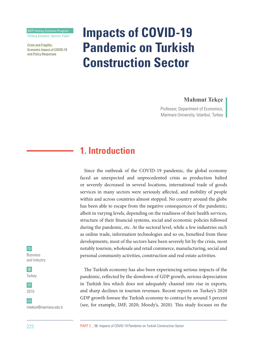KIEP Visiting Scholars Program

Visiting Scholars' Opinion Paper

Crisis and Fragility: Economic Impact of COVID-19 and Policy Responses

-

# **Impacts of COVID-19 Pandemic on Turkish Construction Sector**

### **Mahmut Tekçe**

Professor, Department of Economics, Marmara University, Istanbul, Turkey

### **1. Introduction**

Since the outbreak of the COVID-19 pandemic, the global economy faced an unexpected and unprecedented crisis as production halted or severely decreased in several locations, international trade of goods services in many sectors were seriously affected, and mobility of people within and across countries almost stopped. No country around the globe has been able to escape from the negative consequences of the pandemic; albeit in varying levels, depending on the readiness of their health services, structure of their financial systems, social and economic policies followed during the pandemic, etc. At the sectoral level, while a few industries such as online trade, information technologies and so on, benefited from these developments, most of the sectors have been severely hit by the crisis, most notably tourism, wholesale and retail commerce, manufacturing, social and personal community activities, construction and real estate activities.

The Turkish economy has also been experiencing serious impacts of the pandemic, reflected by the slowdown of GDP growth, serious depreciation in Turkish lira which does not adequately channel into rise in exports, and sharp declines in tourism revenues. Recent reports on Turkey's 2020 GDP growth foresee the Turkish economy to contract by around 5 percent (see, for example, IMF, 2020; Moody's, 2020). This study focuses on the

#### $\mathbf{m}$

Business and Industry





mtekce@marmara.edu.tr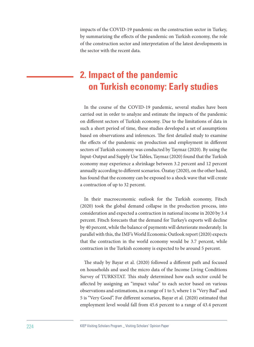impacts of the COVID-19 pandemic on the construction sector in Turkey, by summarizing the effects of the pandemic on Turkish economy, the role of the construction sector and interpretation of the latest developments in the sector with the recent data.

## **2. Impact of the pandemic on Turkish economy: Early studies**

In the course of the COVID-19 pandemic, several studies have been carried out in order to analyze and estimate the impacts of the pandemic on different sectors of Turkish economy. Due to the limitations of data in such a short period of time, these studies developed a set of assumptions based on observations and inferences. The first detailed study to examine the effects of the pandemic on production and employment in different sectors of Turkish economy was conducted by Taymaz (2020). By using the Input-Output and Supply Use Tables, Taymaz (2020) found that the Turkish economy may experience a shrinkage between 3.2 percent and 12 percent annually according to different scenarios. Özatay (2020), on the other hand, has found that the economy can be exposed to a shock wave that will create a contraction of up to 32 percent.

In their macroeconomic outlook for the Turkish economy, Fitsch (2020) took the global demand collapse in the production process, into consideration and expected a contraction in national income in 2020 by 3.4 percent. Fitsch forecasts that the demand for Turkey's exports will decline by 40 percent, while the balance of payments will deteriorate moderately. In parallel with this, the IMF's World Economic Outlook report (2020) expects that the contraction in the world economy would be 3.7 percent, while contraction in the Turkish economy is expected to be around 5 percent.

The study by Bayar et al. (2020) followed a different path and focused on households and used the micro data of the Income Living Conditions Survey of TURKSTAT. This study determined how each sector could be affected by assigning an "impact value" to each sector based on various observations and estimations, in a range of 1 to 5, where 1 is "Very Bad" and 5 is "Very Good". For different scenarios, Bayar et al. (2020) estimated that employment level would fall from 45.6 percent to a range of 43.4 percent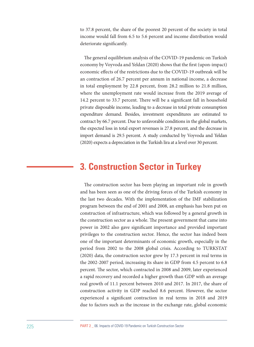to 37.8 percent, the share of the poorest 20 percent of the society in total income would fall from 6.5 to 5.6 percent and income distribution would deteriorate significantly.

The general equilibrium analysis of the COVID-19 pandemic on Turkish economy by Voyvoda and Yeldan (2020) shows that the first (upon-impact) economic effects of the restrictions due to the COVID-19 outbreak will be an contraction of 26.7 percent per annum in national income, a decrease in total employment by 22.8 percent, from 28.2 million to 21.8 million, where the unemployment rate would increase from the 2019 average of 14.2 percent to 33.7 percent. There will be a significant fall in household private disposable income, leading to a decrease in total private consumption expenditure demand. Besides, investment expenditures are estimated to contract by 66.7 percent. Due to unfavorable conditions in the global markets, the expected loss in total export revenues is 27.8 percent, and the decrease in import demand is 29.5 percent. A study conducted by Voyvoda and Yeldan (2020) expects a depreciation in the Turkish lira at a level over 30 percent.

### **3. Construction Sector in Turkey**

The construction sector has been playing an important role in growth and has been seen as one of the driving forces of the Turkish economy in the last two decades. With the implementation of the IMF stabilization program between the end of 2001 and 2008, an emphasis has been put on construction of infrastructure, which was followed by a general growth in the construction sector as a whole. The present government that came into power in 2002 also gave significant importance and provided important privileges to the construction sector. Hence, the sector has indeed been one of the important determinants of economic growth, especially in the period from 2002 to the 2008 global crisis. According to TURKSTAT (2020) data, the construction sector grew by 17.3 percent in real terms in the 2002-2007 period, increasing its share in GDP from 4.5 percent to 6.8 percent. The sector, which contracted in 2008 and 2009, later experienced a rapid recovery and recorded a higher growth than GDP with an average real growth of 11.1 percent between 2010 and 2017. In 2017, the share of construction activity in GDP reached 8.6 percent. However, the sector experienced a significant contraction in real terms in 2018 and 2019 due to factors such as the increase in the exchange rate, global economic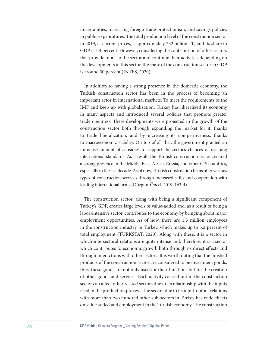uncertainties, increasing foreign trade protectionism, and savings policies in public expenditures. The total production level of the construction sector in 2019, at current prices, is approximately 232 billion TL, and its share in GDP is 5.4 percent. However, considering the contribution of other sectors that provide input to the sector and continue their activities depending on the developments in this sector, the share of the construction sector in GDP is around 30 percent (INTES, 2020).

In addition to having a strong presence in the domestic economy, the Turkish construction sector has been in the process of becoming an important actor in international markets. To meet the requirements of the IMF and keep up with globalization, Turkey has liberalized its economy in many aspects and introduced several policies that promote greater trade openness. These developments were projected in the growth of the construction sector both through expanding the market for it, thanks to trade liberalization, and by increasing its competitiveness, thanks to macroeconomic stability. On top of all that, the government granted an immense amount of subsidies to support the sector's chances of reaching international standards. As a result, the Turkish construction sector secured a strong presence in the Middle East, Africa, Russia, and other CIS countries, especially in the last decade. As of now, Turkish construction firms offer various types of construction services through increased skills and cooperation with leading international firms (Düzgün-Öncel, 2019: 163-4).

The construction sector, along with being a significant component of Turkey's GDP, creates large levels of value-added and, as a result of being a labor-intensive sector, contributes to the economy by bringing about major employment opportunities. As of now, there are 1.3 million employees in the construction industry in Turkey, which makes up to 5.2 percent of total employment (TURKSTAT, 2020). Along with these, it is a sector in which intersectoral relations are quite intense and, therefore, it is a sector which contributes to economic growth both through its direct effects and through interactions with other sectors. It is worth noting that the finished products of the construction sector are considered to be investment goods, thus, these goods are not only used for their functions but for the creation of other goods and services. Each activity carried out in the construction sector can affect other related sectors due to its relationship with the inputs used in the production process. The sector, due to its input-output relations with more than two hundred other sub-sectors in Turkey has wide effects on value added and employment in the Turkish economy. The construction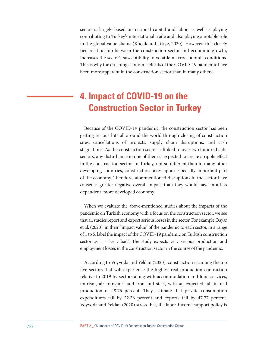sector is largely based on national capital and labor, as well as playing contributing to Turkey's international trade and also playing a notable role in the global value chains (Küçük and Tekçe, 2020). However, this closely tied relationship between the construction sector and economic growth, increases the sector's susceptibility to volatile macroeconomic conditions. This is why the crushing economic effects of the COVID-19 pandemic have been more apparent in the construction sector than in many others.

## **4. Impact of COVID-19 on the Construction Sector in Turkey**

Because of the COVID-19 pandemic, the construction sector has been getting serious hits all around the world through closing of construction sites, cancellations of projects, supply chain disruptions, and cash stagnations. As the construction sector is linked to over two hundred subsectors, any disturbance in one of them is expected to create a ripple effect in the construction sector. In Turkey, not so different than in many other developing countries, construction takes up an especially important part of the economy. Therefore, aforementioned disruptions in the sector have caused a greater negative overall impact than they would have in a less dependent, more developed economy.

When we evaluate the above-mentioned studies about the impacts of the pandemic on Turkish economy with a focus on the construction sector, we see that all studies report and expect serious losses in the sector. For example, Bayar et al. (2020), in their "impact value" of the pandemic to each sector, in a range of 1 to 5, label the impact of the COVID-19 pandemic on Turkish construction sector as 1 - "very bad". The study expects very serious production and employment losses in the construction sector in the course of the pandemic.

According to Voyvoda and Yeldan (2020), construction is among the top five sectors that will experience the highest real production contraction relative to 2019 by sectors along with accommodation and food services, tourism, air transport and iron and steel, with an expected fall in real production of 48.75 percent. They estimate that private consumption expenditures fall by 22.26 percent and exports fall by 47.77 percent. Voyvoda and Yeldan (2020) stress that, if a labor-income support policy is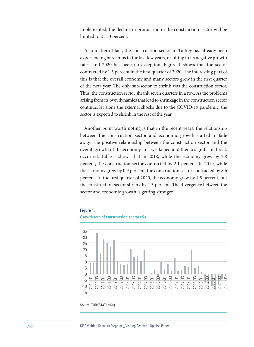implemented, the decline in production in the construction sector will be limited to 21.53 percent.

As a matter of fact, the construction sector in Turkey has already been experiencing hardships in the last few years, resulting in its negative growth rates, and 2020 has been no exception. Figure 1 shows that the sector contracted by 1.5 percent in the first quarter of 2020. The interesting part of this is that the overall economy and many sectors grew in the first quarter of the new year. The only sub-sector to shrink was the construction sector. Thus, the construction sector shrank seven quarters in a row. As the problems arising from its own dynamics that lead to shrinkage in the construction sector continue, let alone the external shocks due to the COVID-19 pandemic, the sector is expected to shrink in the rest of the year.

Another point worth noting is that in the recent years, the relationship between the construction sector and economic growth started to fade away. The positive relationship between the construction sector and the overall growth of the economy first weakened and then a significant break occurred. Table 1 shows that in 2018, while the economy grew by 2.8 percent, the construction sector contracted by 2.1 percent. In 2019, while the economy grew by 0.9 percent, the construction sector contracted by 8.6 percent. In the first quarter of 2020, the economy grew by 4.5 percent, but the construction sector shrank by 1.5 percent. The divergence between the sector and economic growth is getting stronger.



Source: TURKSTAT (2020)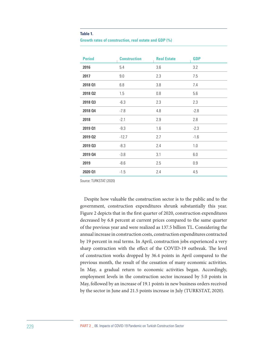#### **Table 1.**

|  | Growth rates of construction, real estate and GDP (%) |  |  |  |
|--|-------------------------------------------------------|--|--|--|
|--|-------------------------------------------------------|--|--|--|

| <b>Period</b>  | <b>Construction</b> | <b>Real Estate</b> | <b>GDP</b> |
|----------------|---------------------|--------------------|------------|
| 2016           | 5.4                 | 3.6                | 3.2        |
| 2017           | 9.0                 | 2.3                | 7.5        |
| 2018 01        | 6.8                 | 3.8                | 7.4        |
| 2018 02        | 1.5                 | 0.8                | 5.6        |
| 2018 03        | $-6.3$              | 2.3                | 2.3        |
| <b>2018 Q4</b> | $-7.8$              | 4.8                | $-2.8$     |
| 2018           | $-2.1$              | 2.9                | 2.8        |
| 2019 01        | $-9.3$              | 1.6                | $-2.3$     |
| 2019 02        | $-12.7$             | 2.7                | $-1.6$     |
| 2019 03        | $-8.3$              | 2.4                | 1.0        |
| 2019 04        | $-3.8$              | 3.1                | 6.0        |
| 2019           | $-8.6$              | 2.5                | 0.9        |
| 2020 01        | $-1.5$              | 2.4                | 4.5        |

Source: TURKSTAT (2020)

Despite how valuable the construction sector is to the public and to the government, construction expenditures shrunk substantially this year. Figure 2 depicts that in the first quarter of 2020, construction expenditures decreased by 6.8 percent at current prices compared to the same quarter of the previous year and were realized as 137.5 billion TL. Considering the annual increase in construction costs, construction expenditures contracted by 19 percent in real terms. In April, construction jobs experienced a very sharp contraction with the effect of the COVID-19 outbreak. The level of construction works dropped by 36.4 points in April compared to the previous month, the result of the cessation of many economic activities. In May, a gradual return to economic activities began. Accordingly, employment levels in the construction sector increased by 5.0 points in May, followed by an increase of 19.1 points in new business orders received by the sector in June and 21.5 points increase in July (TURKSTAT, 2020).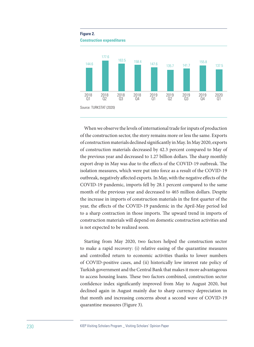

When we observe the levels of international trade for inputs of production of the construction sector, the story remains more or less the same. Exports of construction materials declined significantly in May. In May 2020, exports of construction materials decreased by 42.3 percent compared to May of the previous year and decreased to 1.27 billion dollars. The sharp monthly export drop in May was due to the effects of the COVID-19 outbreak. The isolation measures, which were put into force as a result of the COVID-19 outbreak, negatively affected exports. In May, with the negative effects of the COVID-19 pandemic, imports fell by 28.1 percent compared to the same month of the previous year and decreased to 465 million dollars. Despite the increase in imports of construction materials in the first quarter of the year, the effects of the COVID-19 pandemic in the April-May period led to a sharp contraction in those imports. The upward trend in imports of construction materials will depend on domestic construction activities and is not expected to be realized soon.

Starting from May 2020, two factors helped the construction sector to make a rapid recovery: (i) relative easing of the quarantine measures and controlled return to economic activities thanks to lower numbers of COVID-positive cases, and (ii) historically low interest rate policy of Turkish government and the Central Bank that makes it more advantageous to access housing loans. These two factors combined, construction sector confidence index significantly improved from May to August 2020, but declined again in August mainly due to sharp currency depreciation in that month and increasing concerns about a second wave of COVID-19 quarantine measures (Figure 3).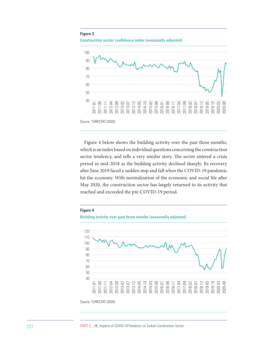#### **Figure 3.**





Figure 4 below shows the building activity over the past three months, which is an index based on individual questions concerning the construction sector tendency, and tells a very similar story. The sector entered a crisis period in mid-2018 as the building activity declined sharply. Its recovery after June 2019 faced a sudden stop and fall when the COVID-19 pandemic hit the economy. With normalization of the economic and social life after May 2020, the construction sector has largely returned to its activity that reached and exceeded the pre-COVID-19 period.



231 PART 2 \_ 06. Impacts of COVID-19 Pandemic on Turkish Construction Sector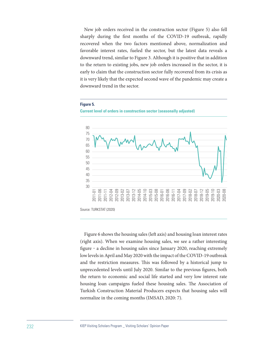New job orders received in the construction sector (Figure 5) also fell sharply during the first months of the COVID-19 outbreak, rapidly recovered when the two factors mentioned above, normalization and favorable interest rates, fueled the sector, but the latest data reveals a downward trend, similar to Figure 3. Although it is positive that in addition to the return to existing jobs, new job orders increased in the sector, it is early to claim that the construction sector fully recovered from its crisis as it is very likely that the expected second wave of the pandemic may create a downward trend in the sector.

#### **Current level of orders in construction sector (seasonally adjusted)** 80 75 70 65 60 55 50 45 40 35 30 2011-01 2011-06 2011-11 2012-04 2012-09 2013-02 2013-07 2013-12 2014-05 2014-10 2015-03 2015-08 2016-01 2016-06 2016-11 2017-04 2017-09 2018-02 2018-07 2018-12 2019-05 2019-10 2020-03 2020-08

#### **Figure 5.**

Figure 6 shows the housing sales (left axis) and housing loan interest rates (right axis). When we examine housing sales, we see a rather interesting figure - a decline in housing sales since January 2020, reaching extremely low levels in April and May 2020 with the impact of the COVID-19 outbreak and the restriction measures. This was followed by a historical jump to unprecedented levels until July 2020. Similar to the previous figures, both the return to economic and social life started and very low interest rate housing loan campaigns fueled these housing sales. The Association of Turkish Construction Material Producers expects that housing sales will normalize in the coming months (IMSAD, 2020: 7).

Source: TURKSTAT (2020)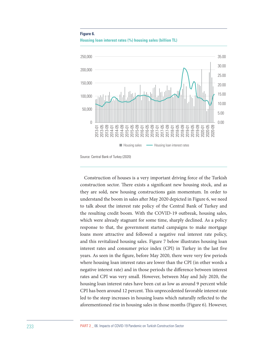#### **Figure 6.**





Source: Central Bank of Turkey (2020)

Construction of houses is a very important driving force of the Turkish construction sector. There exists a significant new housing stock, and as they are sold, new housing constructions gain momentum. In order to understand the boom in sales after May 2020 depicted in Figure 6, we need to talk about the interest rate policy of the Central Bank of Turkey and the resulting credit boom. With the COVID-19 outbreak, housing sales, which were already stagnant for some time, sharply declined. As a policy response to that, the government started campaigns to make mortgage loans more attractive and followed a negative real interest rate policy, and this revitalized housing sales. Figure 7 below illustrates housing loan interest rates and consumer price index (CPI) in Turkey in the last five years. As seen in the figure, before May 2020, there were very few periods where housing loan interest rates are lower than the CPI (in other words a negative interest rate) and in those periods the difference between interest rates and CPI was very small. However, between May and July 2020, the housing loan interest rates have been cut as low as around 9 percent while CPI has been around 12 percent. This unprecedented favorable interest rate led to the steep increases in housing loans which naturally reflected to the aforementioned rise in housing sales in those months (Figure 6). However,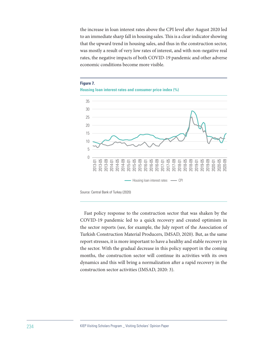the increase in loan interest rates above the CPI level after August 2020 led to an immediate sharp fall in housing sales. This is a clear indicator showing that the upward trend in housing sales, and thus in the construction sector, was mostly a result of very low rates of interest, and with non-negative real rates, the negative impacts of both COVID-19 pandemic and other adverse economic conditions become more visible.



**Figure 7.**



Source: Central Bank of Turkey (2020)

Fast policy response to the construction sector that was shaken by the COVID-19 pandemic led to a quick recovery and created optimism in the sector reports (see, for example, the July report of the Association of Turkish Construction Material Producers, IMSAD, 2020). But, as the same report stresses, it is more important to have a healthy and stable recovery in the sector. With the gradual decrease in this policy support in the coming months, the construction sector will continue its activities with its own dynamics and this will bring a normalization after a rapid recovery in the construction sector activities (IMSAD, 2020: 3).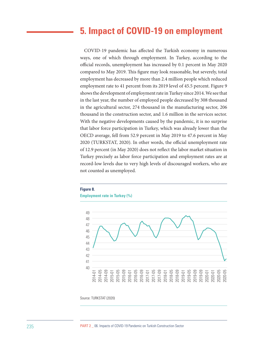### **5. Impact of COVID-19 on employment**

COVID-19 pandemic has affected the Turkish economy in numerous ways, one of which through employment. In Turkey, according to the official records, unemployment has increased by 0.1 percent in May 2020 compared to May 2019. This figure may look reasonable, but severely, total employment has decreased by more than 2.4 million people which reduced employment rate to 41 percent from its 2019 level of 45.5 percent. Figure 9 shows the development of employment rate in Turkey since 2014. We see that in the last year, the number of employed people decreased by 308 thousand in the agricultural sector, 274 thousand in the manufacturing sector, 206 thousand in the construction sector, and 1.6 million in the services sector. With the negative developments caused by the pandemic, it is no surprise that labor force participation in Turkey, which was already lower than the OECD average, fell from 52.9 percent in May 2019 to 47.6 percent in May 2020 (TURKSTAT, 2020). In other words, the official unemployment rate of 12.9 percent (in May 2020) does not reflect the labor market situation in Turkey precisely as labor force participation and employment rates are at record-low levels due to very high levels of discouraged workers, who are not counted as unemployed.



#### **Figure 8.**

Source: TURKSTAT (2020)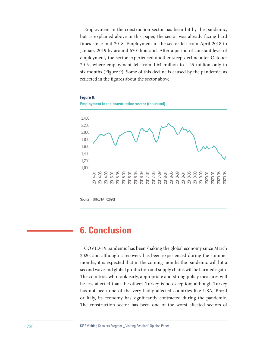Employment in the construction sector has been hit by the pandemic, but as explained above in this paper, the sector was already facing hard times since mid-2018. Employment in the sector fell from April 2018 to January 2019 by around 670 thousand. After a period of constant level of employment, the sector experienced another steep decline after October 2019, where employment fell from 1.64 million to 1.25 million only in six months (Figure 9). Some of this decline is caused by the pandemic, as reflected in the figures about the sector above.



Source: TURKSTAT (2020)

### **6. Conclusion**

COVID-19 pandemic has been shaking the global economy since March 2020, and although a recovery has been experienced during the summer months, it is expected that in the coming months the pandemic will hit a second wave and global production and supply chains will be harmed again. The countries who took early, appropriate and strong policy measures will be less affected than the others. Turkey is no exception; although Turkey has not been one of the very badly affected countries like USA, Brazil or Italy, its economy has significantly contracted during the pandemic. The construction sector has been one of the worst affected sectors of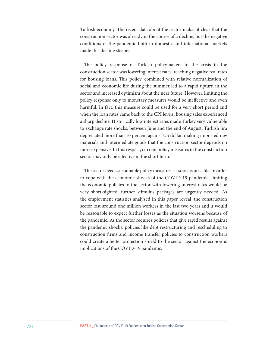Turkish economy. The recent data about the sector makes it clear that the construction sector was already in the course of a decline, but the negative conditions of the pandemic both in domestic and international markets made this decline steeper.

The policy response of Turkish policymakers to the crisis in the construction sector was lowering interest rates, reaching negative real rates for housing loans. This policy, combined with relative normalization of social and economic life during the summer led to a rapid upturn in the sector and increased optimism about the near future. However, limiting the policy response only to monetary measures would be ineffective and even harmful. In fact, this measure could be used for a very short period and when the loan rates came back to the CPI levels, housing sales experienced a sharp decline. Historically low interest rates made Turkey very vulnerable to exchange rate shocks; between June and the end of August, Turkish lira depreciated more than 10 percent against US dollar, making imported raw materials and intermediate goods that the construction sector depends on more expensive. In this respect, current policy measures in the construction sector may only be effective in the short term.

The sector needs sustainable policy measures, as soon as possible, in order to cope with the economic shocks of the COVID-19 pandemic, limiting the economic policies to the sector with lowering interest rates would be very short-sighted, further stimulus packages are urgently needed. As the employment statistics analyzed in this paper reveal, the construction sector lost around one million workers in the last two years and it would be reasonable to expect further losses as the situation worsens because of the pandemic. As the sector requires policies that give rapid results against the pandemic shocks, policies like debt restructuring and rescheduling to construction firms and income transfer policies to construction workers could create a better protection shield to the sector against the economic implications of the COVID-19 pandemic.